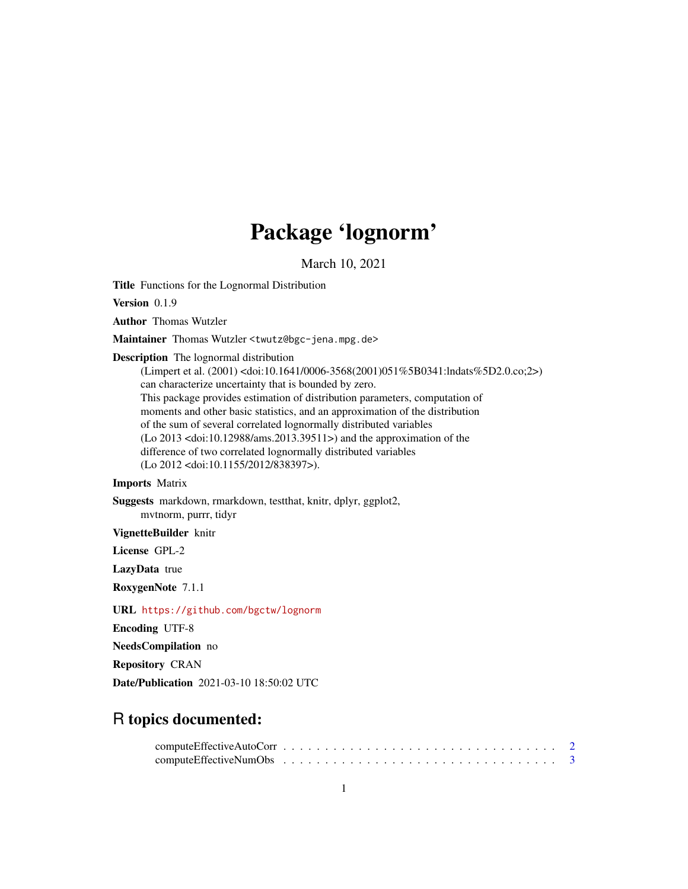# Package 'lognorm'

March 10, 2021

<span id="page-0-0"></span>Title Functions for the Lognormal Distribution

Version 0.1.9

Author Thomas Wutzler

Maintainer Thomas Wutzler <twutz@bgc-jena.mpg.de>

Description The lognormal distribution

(Limpert et al. (2001) <doi:10.1641/0006-3568(2001)051%5B0341:lndats%5D2.0.co;2>) can characterize uncertainty that is bounded by zero. This package provides estimation of distribution parameters, computation of moments and other basic statistics, and an approximation of the distribution of the sum of several correlated lognormally distributed variables (Lo 2013 <doi:10.12988/ams.2013.39511>) and the approximation of the difference of two correlated lognormally distributed variables (Lo 2012 <doi:10.1155/2012/838397>).

# Imports Matrix

Suggests markdown, rmarkdown, testthat, knitr, dplyr, ggplot2, mvtnorm, purrr, tidyr

VignetteBuilder knitr

License GPL-2

LazyData true

RoxygenNote 7.1.1

URL <https://github.com/bgctw/lognorm>

Encoding UTF-8

NeedsCompilation no

Repository CRAN

Date/Publication 2021-03-10 18:50:02 UTC

# R topics documented: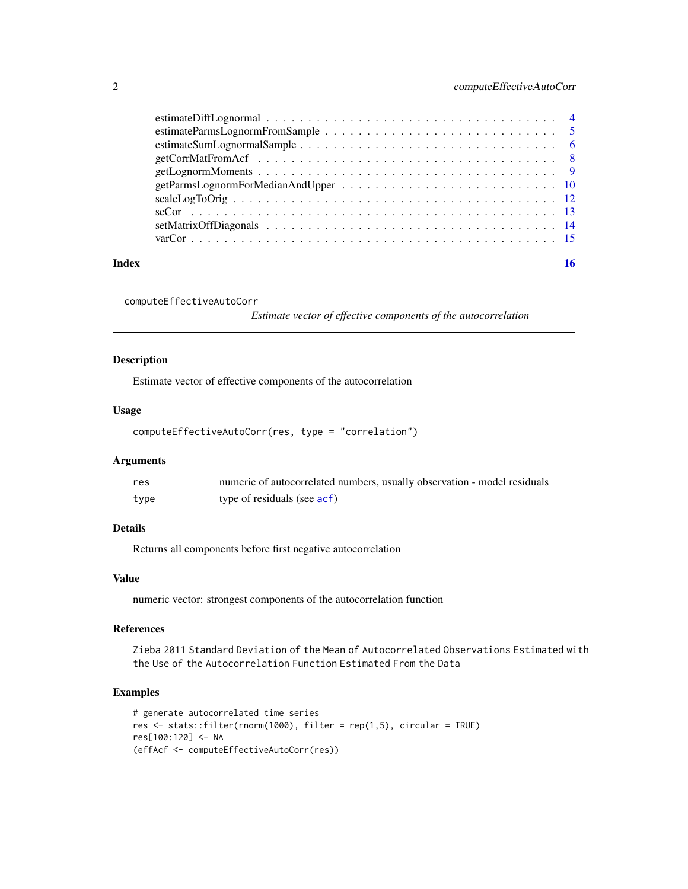<span id="page-1-0"></span>

| Index |  |
|-------|--|
|       |  |
|       |  |
|       |  |
|       |  |
|       |  |
|       |  |
|       |  |
|       |  |
|       |  |
|       |  |

```
computeEffectiveAutoCorr
```
*Estimate vector of effective components of the autocorrelation*

# Description

Estimate vector of effective components of the autocorrelation

# Usage

```
computeEffectiveAutoCorr(res, type = "correlation")
```
# Arguments

| res  | numeric of autocorrelated numbers, usually observation - model residuals |
|------|--------------------------------------------------------------------------|
| type | type of residuals (see acf)                                              |

# Details

Returns all components before first negative autocorrelation

# Value

numeric vector: strongest components of the autocorrelation function

# References

Zieba 2011 Standard Deviation of the Mean of Autocorrelated Observations Estimated with the Use of the Autocorrelation Function Estimated From the Data

# Examples

```
# generate autocorrelated time series
res <- stats::filter(rnorm(1000), filter = rep(1,5), circular = TRUE)
res[100:120] <- NA
(effAcf <- computeEffectiveAutoCorr(res))
```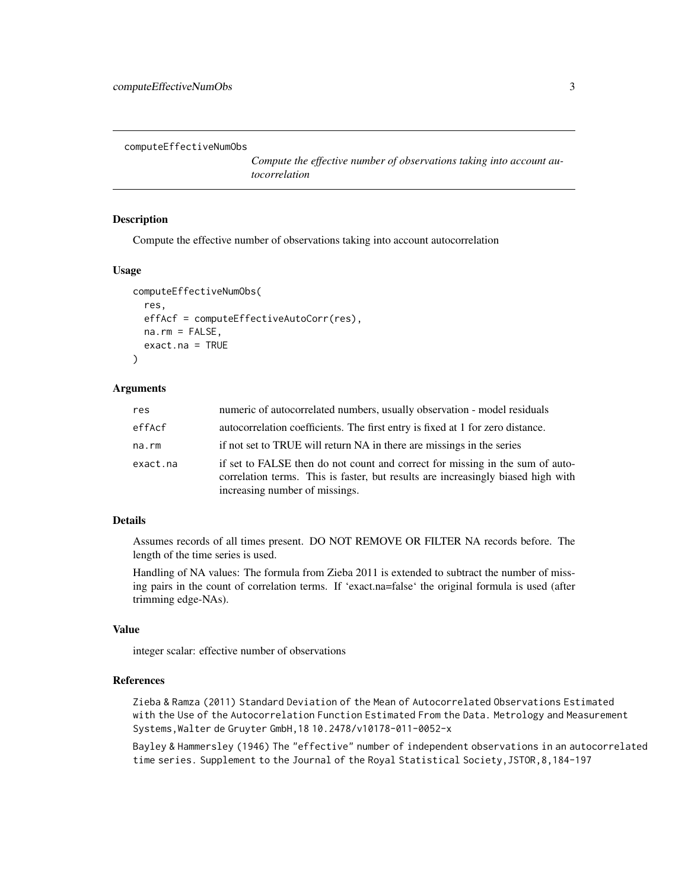<span id="page-2-1"></span><span id="page-2-0"></span>computeEffectiveNumObs

*Compute the effective number of observations taking into account autocorrelation*

#### Description

Compute the effective number of observations taking into account autocorrelation

# Usage

```
computeEffectiveNumObs(
  res,
  effAcf = computeEffectiveAutoCorr(res),
 na.rm = FALSE,
  exact.na = TRUE
)
```
# Arguments

| res      | numeric of autocorrelated numbers, usually observation - model residuals                                                                                                                            |
|----------|-----------------------------------------------------------------------------------------------------------------------------------------------------------------------------------------------------|
| effAcf   | autocorrelation coefficients. The first entry is fixed at 1 for zero distance.                                                                                                                      |
| na.rm    | if not set to TRUE will return NA in there are missings in the series                                                                                                                               |
| exact.na | if set to FALSE then do not count and correct for missing in the sum of auto-<br>correlation terms. This is faster, but results are increasingly biased high with<br>increasing number of missings. |

# Details

Assumes records of all times present. DO NOT REMOVE OR FILTER NA records before. The length of the time series is used.

Handling of NA values: The formula from Zieba 2011 is extended to subtract the number of missing pairs in the count of correlation terms. If 'exact.na=false' the original formula is used (after trimming edge-NAs).

# Value

integer scalar: effective number of observations

#### References

Zieba & Ramza (2011) Standard Deviation of the Mean of Autocorrelated Observations Estimated with the Use of the Autocorrelation Function Estimated From the Data. Metrology and Measurement Systems,Walter de Gruyter GmbH,18 10.2478/v10178-011-0052-x

Bayley & Hammersley (1946) The "effective" number of independent observations in an autocorrelated time series. Supplement to the Journal of the Royal Statistical Society,JSTOR,8,184-197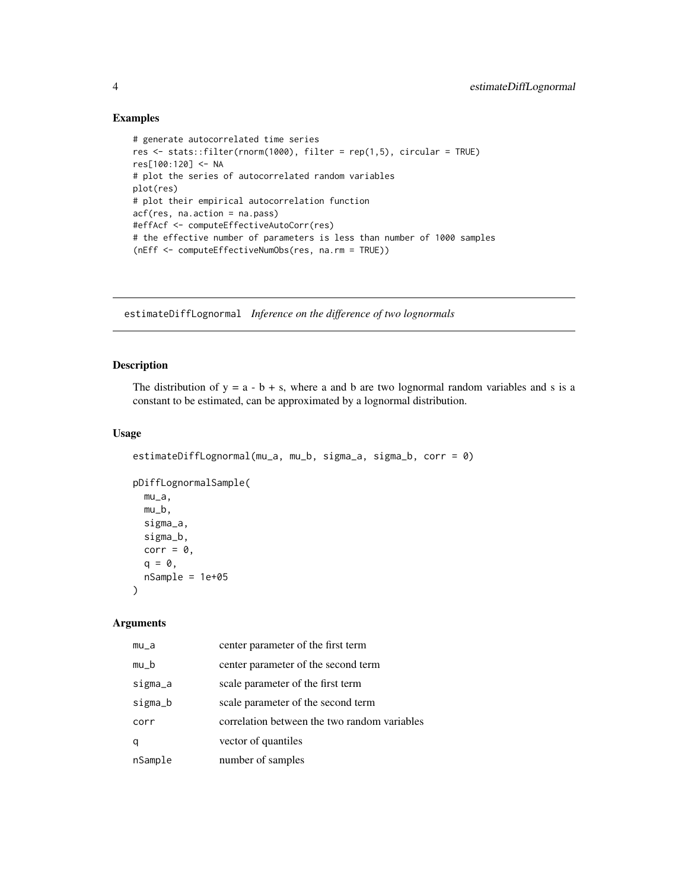# Examples

```
# generate autocorrelated time series
res <- stats::filter(rnorm(1000), filter = rep(1,5), circular = TRUE)
res[100:120] <- NA
# plot the series of autocorrelated random variables
plot(res)
# plot their empirical autocorrelation function
acf(res, na.action = na.pass)
#effAcf <- computeEffectiveAutoCorr(res)
# the effective number of parameters is less than number of 1000 samples
(nEff <- computeEffectiveNumObs(res, na.rm = TRUE))
```
estimateDiffLognormal *Inference on the difference of two lognormals*

# Description

The distribution of  $y = a - b + s$ , where a and b are two lognormal random variables and s is a constant to be estimated, can be approximated by a lognormal distribution.

# Usage

```
estimateDiffLognormal(mu_a, mu_b, sigma_a, sigma_b, corr = 0)
pDiffLognormalSample(
 mu_a,
 mu_b,
  sigma_a,
  sigma_b,
  corr = 0,
  q = 0,
 nSample = 1e+05
\lambda
```
# Arguments

| mu_a    | center parameter of the first term           |
|---------|----------------------------------------------|
| $mu_b$  | center parameter of the second term          |
| sigma_a | scale parameter of the first term            |
| sigma_b | scale parameter of the second term           |
| corr    | correlation between the two random variables |
| q       | vector of quantiles                          |
| nSample | number of samples                            |

<span id="page-3-0"></span>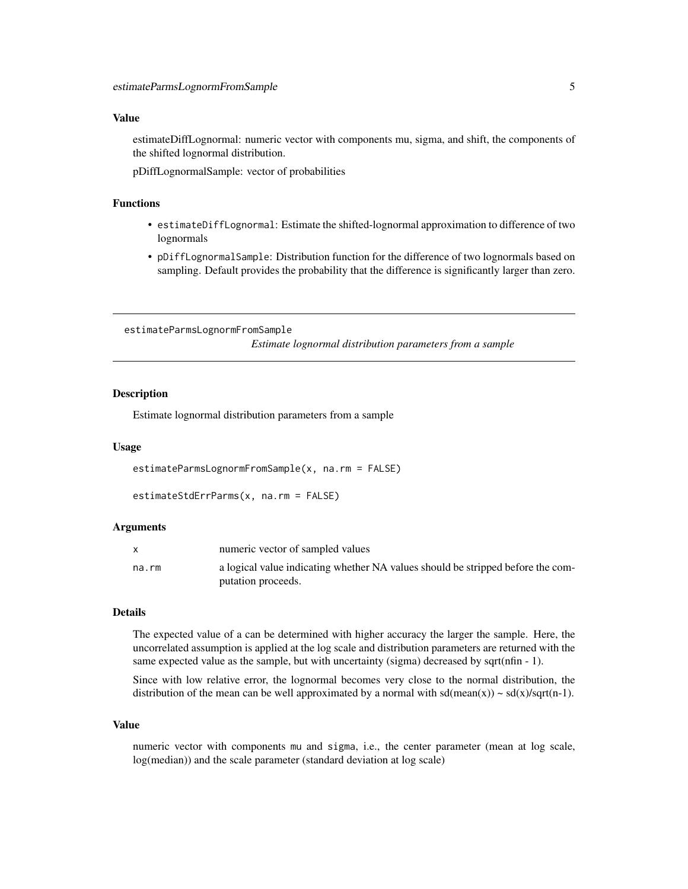#### <span id="page-4-0"></span>Value

estimateDiffLognormal: numeric vector with components mu, sigma, and shift, the components of the shifted lognormal distribution.

pDiffLognormalSample: vector of probabilities

# Functions

- estimateDiffLognormal: Estimate the shifted-lognormal approximation to difference of two lognormals
- pDiffLognormalSample: Distribution function for the difference of two lognormals based on sampling. Default provides the probability that the difference is significantly larger than zero.

estimateParmsLognormFromSample

*Estimate lognormal distribution parameters from a sample*

#### Description

Estimate lognormal distribution parameters from a sample

#### Usage

```
estimateParmsLognormFromSample(x, na.rm = FALSE)
```

```
estimateStdErrParms(x, na.rm = FALSE)
```
#### Arguments

|       | numeric vector of sampled values                                                |
|-------|---------------------------------------------------------------------------------|
| na.rm | a logical value indicating whether NA values should be stripped before the com- |
|       | putation proceeds.                                                              |

#### Details

The expected value of a can be determined with higher accuracy the larger the sample. Here, the uncorrelated assumption is applied at the log scale and distribution parameters are returned with the same expected value as the sample, but with uncertainty (sigma) decreased by sqrt(nfin - 1).

Since with low relative error, the lognormal becomes very close to the normal distribution, the distribution of the mean can be well approximated by a normal with  $sd(\text{mean}(x)) \sim sd(x)/sqrt(n-1)$ .

# Value

numeric vector with components mu and sigma, i.e., the center parameter (mean at log scale, log(median)) and the scale parameter (standard deviation at log scale)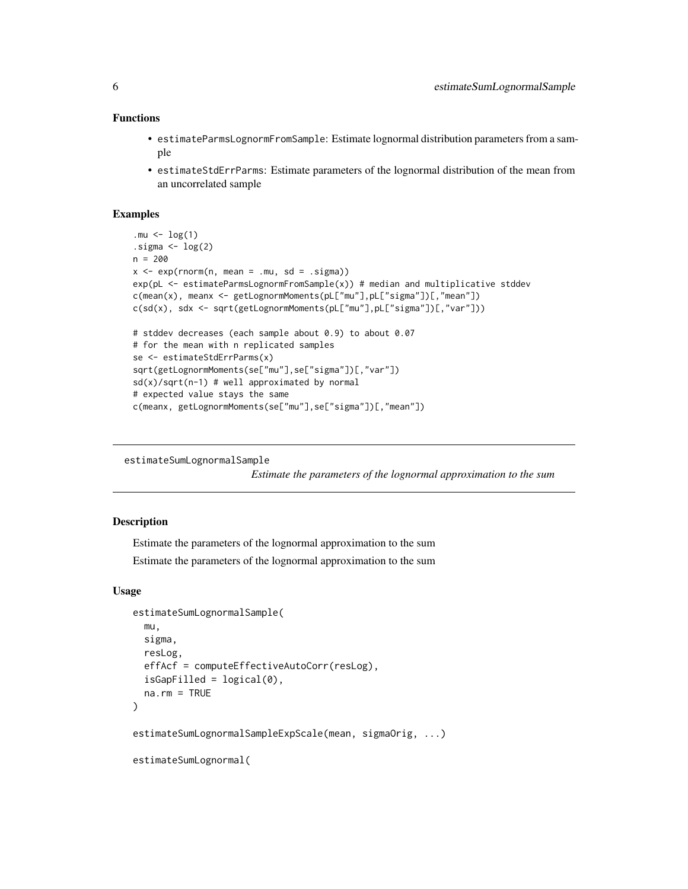# <span id="page-5-0"></span>Functions

- estimateParmsLognormFromSample: Estimate lognormal distribution parameters from a sample
- estimateStdErrParms: Estimate parameters of the lognormal distribution of the mean from an uncorrelated sample

#### Examples

```
.mu \leftarrow \log(1).sigma \leftarrow \log(2)n = 200
x \leq -\exp(\text{rnorm}(n, \text{mean} = .\text{mu}, \text{sd} = .\text{sigma}))exp(pL \le - estimateParmsLognormFromSample(x)) # median and multiplicative stddev
c(mean(x), meanx <- getLognormMoments(pL["mu"],pL["sigma"])[,"mean"])
c(sd(x), sdx <- sqrt(getLognormMoments(pL["mu"],pL["sigma"])[,"var"]))
# stddev decreases (each sample about 0.9) to about 0.07
# for the mean with n replicated samples
se <- estimateStdErrParms(x)
sqrt(getLognormMoments(se["mu"],se["sigma"])[,"var"])
sd(x)/sqrt(n-1) # well approximated by normal
# expected value stays the same
c(meanx, getLognormMoments(se["mu"],se["sigma"])[,"mean"])
```

```
estimateSumLognormalSample
```
*Estimate the parameters of the lognormal approximation to the sum*

#### Description

Estimate the parameters of the lognormal approximation to the sum

Estimate the parameters of the lognormal approximation to the sum

#### Usage

```
estimateSumLognormalSample(
  mu,
  sigma,
  resLog,
  effAcf = computeEffectiveAutoCorr(resLog),
  isGapFilled = logical(0),
  na.rm = TRUE
)
estimateSumLognormalSampleExpScale(mean, sigmaOrig, ...)
estimateSumLognormal(
```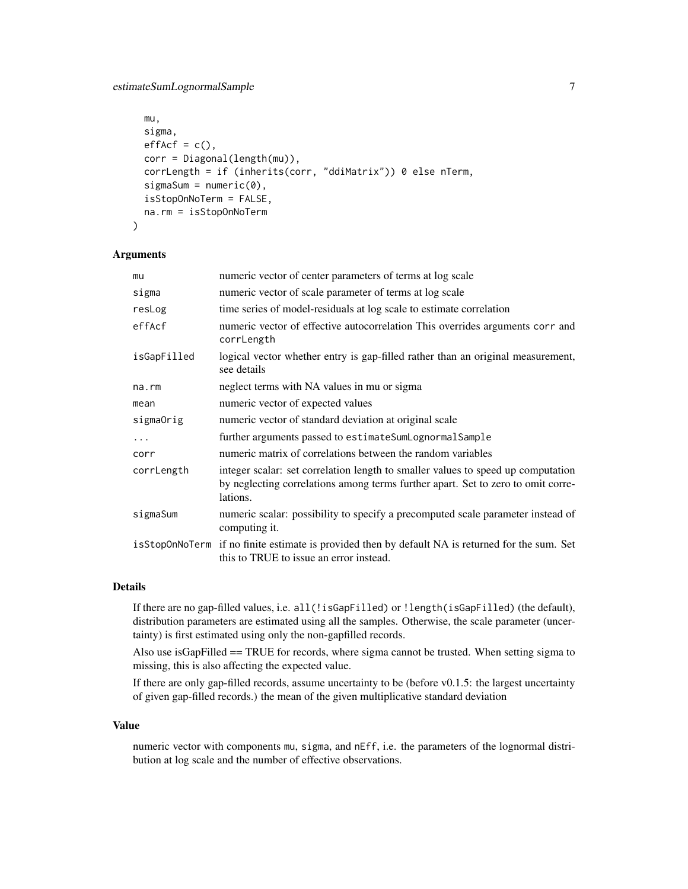```
mu,
  sigma,
 effAct = c(),
 corr = Diagonal(length(mu)),
  corrLength = if (inherits(corr, "ddiMatrix")) 0 else nTerm,
  signaSum = numeric(0),
  isStopOnNoTerm = FALSE,
 na.rm = isStopOnNoTerm
)
```
#### Arguments

| mu          | numeric vector of center parameters of terms at log scale                                                                                                                        |
|-------------|----------------------------------------------------------------------------------------------------------------------------------------------------------------------------------|
| sigma       | numeric vector of scale parameter of terms at log scale                                                                                                                          |
| resLog      | time series of model-residuals at log scale to estimate correlation                                                                                                              |
| effAcf      | numeric vector of effective autocorrelation This overrides arguments corr and<br>corrLength                                                                                      |
| isGapFilled | logical vector whether entry is gap-filled rather than an original measurement,<br>see details                                                                                   |
| $na$ . $rm$ | neglect terms with NA values in mu or sigma                                                                                                                                      |
| mean        | numeric vector of expected values                                                                                                                                                |
| sigmaOrig   | numeric vector of standard deviation at original scale                                                                                                                           |
| $\cdots$    | further arguments passed to estimate SumLognormal Sample                                                                                                                         |
| corr        | numeric matrix of correlations between the random variables                                                                                                                      |
| corrLength  | integer scalar: set correlation length to smaller values to speed up computation<br>by neglecting correlations among terms further apart. Set to zero to omit corre-<br>lations. |
| sigmaSum    | numeric scalar: possibility to specify a precomputed scale parameter instead of<br>computing it.                                                                                 |
|             | is Stop0nNoTerm if no finite estimate is provided then by default NA is returned for the sum. Set<br>this to TRUE to issue an error instead.                                     |

#### Details

If there are no gap-filled values, i.e. all(!isGapFilled) or !length(isGapFilled) (the default), distribution parameters are estimated using all the samples. Otherwise, the scale parameter (uncertainty) is first estimated using only the non-gapfilled records.

Also use isGapFilled == TRUE for records, where sigma cannot be trusted. When setting sigma to missing, this is also affecting the expected value.

If there are only gap-filled records, assume uncertainty to be (before v0.1.5: the largest uncertainty of given gap-filled records.) the mean of the given multiplicative standard deviation

#### Value

numeric vector with components mu, sigma, and nEff, i.e. the parameters of the lognormal distribution at log scale and the number of effective observations.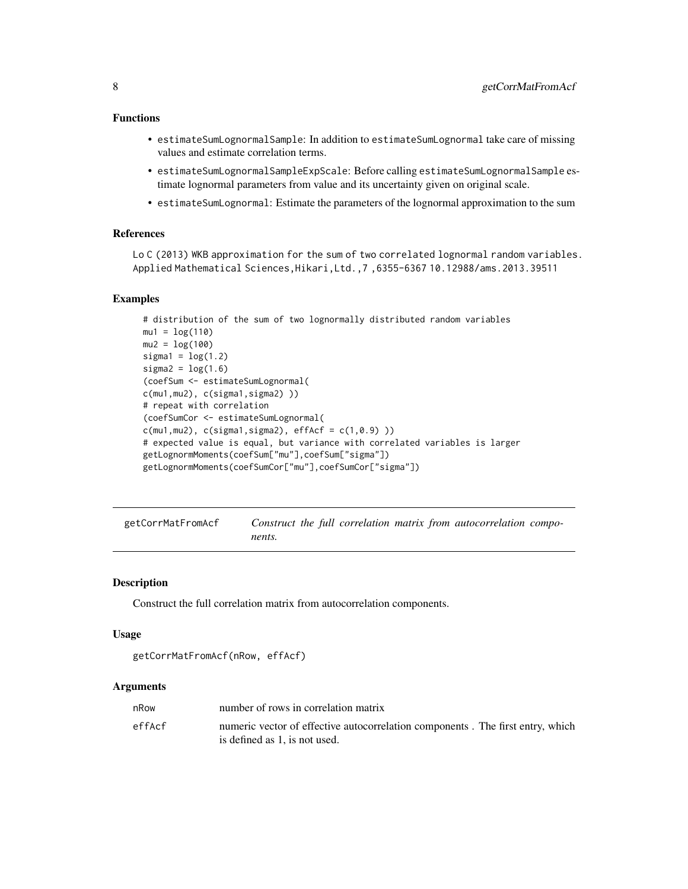# <span id="page-7-0"></span>Functions

- estimateSumLognormalSample: In addition to estimateSumLognormal take care of missing values and estimate correlation terms.
- estimateSumLognormalSampleExpScale: Before calling estimateSumLognormalSample estimate lognormal parameters from value and its uncertainty given on original scale.
- estimateSumLognormal: Estimate the parameters of the lognormal approximation to the sum

#### References

Lo C (2013) WKB approximation for the sum of two correlated lognormal random variables. Applied Mathematical Sciences,Hikari,Ltd.,7 ,6355-6367 10.12988/ams.2013.39511

#### Examples

```
# distribution of the sum of two lognormally distributed random variables
mu1 = log(110)mu2 = log(100)signal = log(1.2)sigma2 = \log(1.6)(coefSum <- estimateSumLognormal(
c(mu1,mu2), c(sigma1,sigma2) ))
# repeat with correlation
(coefSumCor <- estimateSumLognormal(
c(mu1,mu2), c(sigma1,sigma1), effAcf = c(1,0.9))
# expected value is equal, but variance with correlated variables is larger
getLognormMoments(coefSum["mu"],coefSum["sigma"])
getLognormMoments(coefSumCor["mu"],coefSumCor["sigma"])
```
getCorrMatFromAcf *Construct the full correlation matrix from autocorrelation components.*

#### **Description**

Construct the full correlation matrix from autocorrelation components.

#### Usage

```
getCorrMatFromAcf(nRow, effAcf)
```
#### Arguments

| nRow   | number of rows in correlation matrix                                                                            |
|--------|-----------------------------------------------------------------------------------------------------------------|
| effAcf | numeric vector of effective autocorrelation components. The first entry, which<br>is defined as 1, is not used. |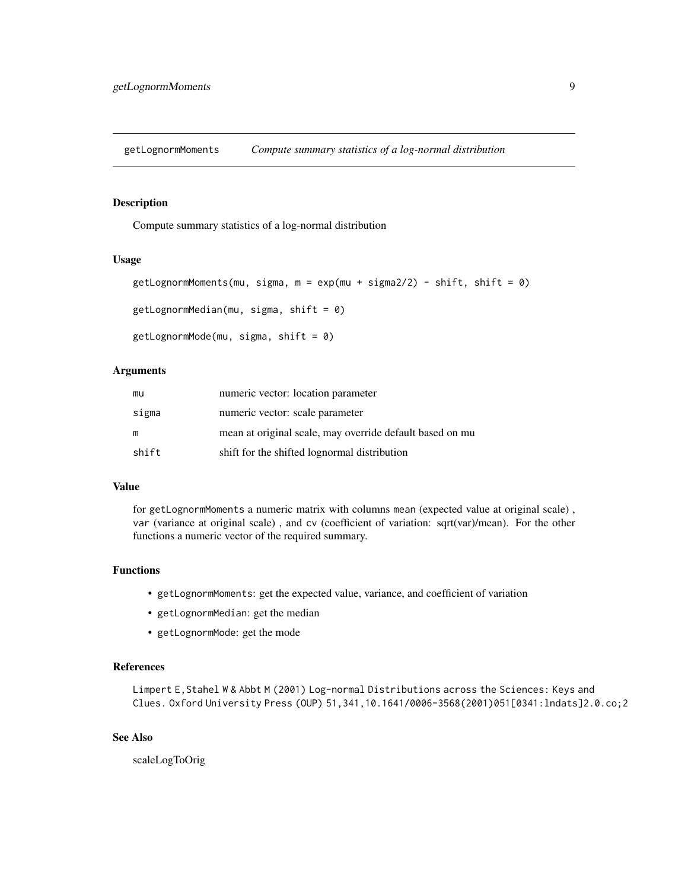<span id="page-8-0"></span>getLognormMoments *Compute summary statistics of a log-normal distribution*

# Description

Compute summary statistics of a log-normal distribution

#### Usage

```
getLognormMoments(mu, sigma, m = exp(mu + sigma2/2) - shift, shift = 0)
getLognormMedian(mu, sigma, shift = 0)
getLognormMode(mu, sigma, shift = 0)
```
# Arguments

| mu    | numeric vector: location parameter                       |
|-------|----------------------------------------------------------|
| sigma | numeric vector: scale parameter                          |
| m     | mean at original scale, may override default based on mu |
| shift | shift for the shifted lognormal distribution             |

#### Value

for getLognormMoments a numeric matrix with columns mean (expected value at original scale) , var (variance at original scale) , and cv (coefficient of variation: sqrt(var)/mean). For the other functions a numeric vector of the required summary.

# Functions

- getLognormMoments: get the expected value, variance, and coefficient of variation
- getLognormMedian: get the median
- getLognormMode: get the mode

# References

Limpert E,Stahel W & Abbt M (2001) Log-normal Distributions across the Sciences: Keys and Clues. Oxford University Press (OUP) 51,341,10.1641/0006-3568(2001)051[0341:lndats]2.0.co;2

# See Also

scaleLogToOrig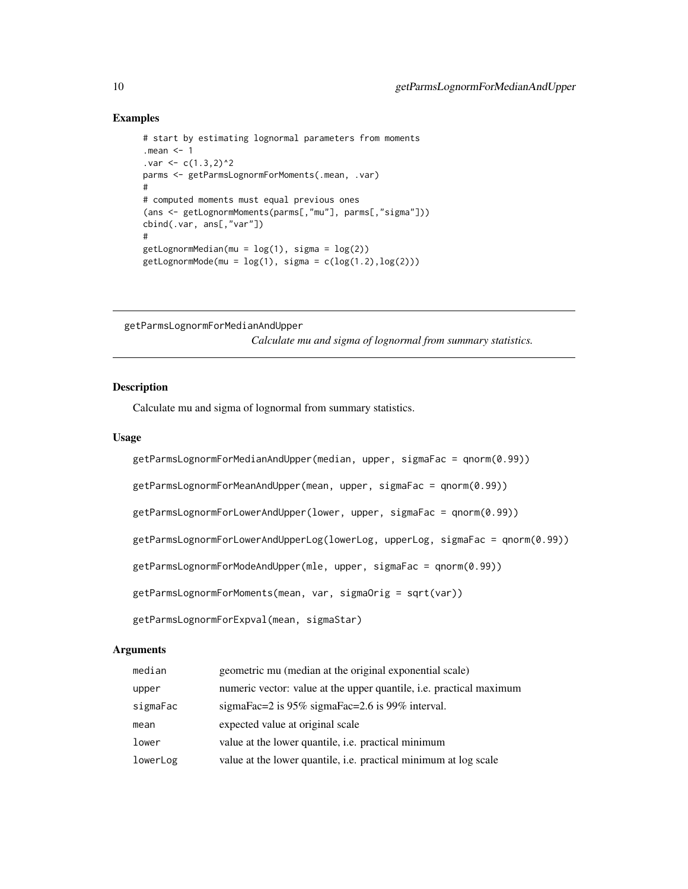#### Examples

```
# start by estimating lognormal parameters from moments
.mean <- 1
. var < -c(1.3, 2)^2parms <- getParmsLognormForMoments(.mean, .var)
#
# computed moments must equal previous ones
(ans <- getLognormMoments(parms[,"mu"], parms[,"sigma"]))
cbind(.var, ans[,"var"])
#
getLognormMedian(mu = log(1), sigma = log(2))getLognormMode(mu = log(1), sigma = c(log(1.2), log(2)))
```
getParmsLognormForMedianAndUpper

*Calculate mu and sigma of lognormal from summary statistics.*

# Description

Calculate mu and sigma of lognormal from summary statistics.

# Usage

```
getParmsLognormForMedianAndUpper(median, upper, sigmaFac = qnorm(0.99))
getParmsLognormForMeanAndUpper(mean, upper, sigmaFac = qnorm(0.99))
getParmsLognormForLowerAndUpper(lower, upper, sigmaFac = qnorm(0.99))
getParmsLognormForLowerAndUpperLog(lowerLog, upperLog, sigmaFac = qnorm(0.99))
getParmsLognormForModeAndUpper(mle, upper, sigmaFac = qnorm(0.99))
getParmsLognormForMoments(mean, var, sigmaOrig = sqrt(var))
getParmsLognormForExpval(mean, sigmaStar)
```
# **Arguments**

| median   | geometric mu (median at the original exponential scale)                    |
|----------|----------------------------------------------------------------------------|
| upper    | numeric vector: value at the upper quantile, <i>i.e.</i> practical maximum |
| sigmaFac | sigmaFac=2 is $95\%$ sigmaFac=2.6 is 99% interval.                         |
| mean     | expected value at original scale                                           |
| lower    | value at the lower quantile, <i>i.e.</i> practical minimum                 |
| lowerLog | value at the lower quantile, i.e. practical minimum at log scale           |

<span id="page-9-0"></span>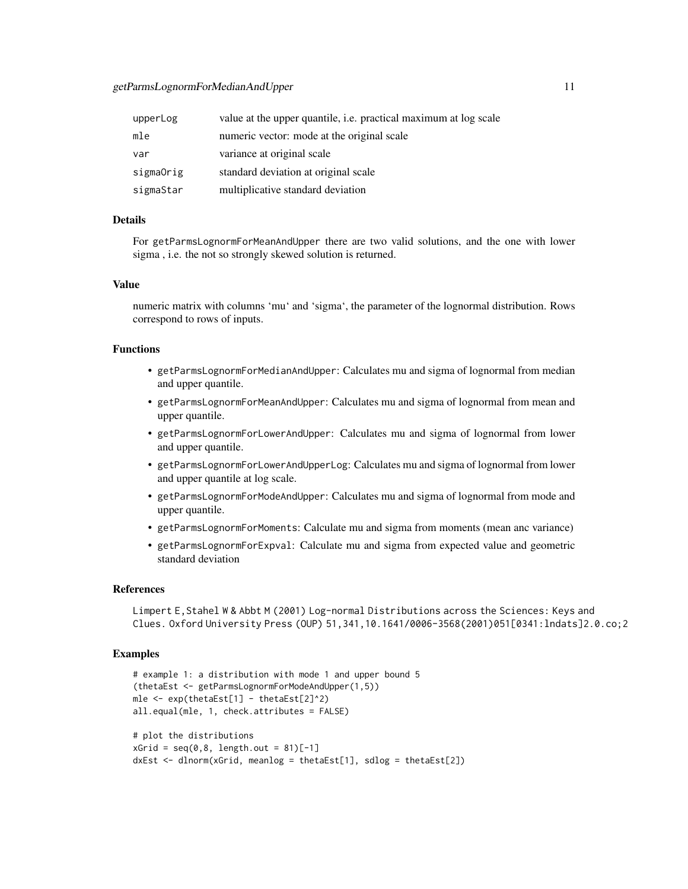#### getParmsLognormForMedianAndUpper 11

| upperLog  | value at the upper quantile, <i>i.e.</i> practical maximum at log scale |
|-----------|-------------------------------------------------------------------------|
| mle       | numeric vector: mode at the original scale                              |
| var       | variance at original scale                                              |
| sigmaOrig | standard deviation at original scale                                    |
| sigmaStar | multiplicative standard deviation                                       |

#### Details

For getParmsLognormForMeanAndUpper there are two valid solutions, and the one with lower sigma , i.e. the not so strongly skewed solution is returned.

# Value

numeric matrix with columns 'mu' and 'sigma', the parameter of the lognormal distribution. Rows correspond to rows of inputs.

#### Functions

- getParmsLognormForMedianAndUpper: Calculates mu and sigma of lognormal from median and upper quantile.
- getParmsLognormForMeanAndUpper: Calculates mu and sigma of lognormal from mean and upper quantile.
- getParmsLognormForLowerAndUpper: Calculates mu and sigma of lognormal from lower and upper quantile.
- getParmsLognormForLowerAndUpperLog: Calculates mu and sigma of lognormal from lower and upper quantile at log scale.
- getParmsLognormForModeAndUpper: Calculates mu and sigma of lognormal from mode and upper quantile.
- getParmsLognormForMoments: Calculate mu and sigma from moments (mean anc variance)
- getParmsLognormForExpval: Calculate mu and sigma from expected value and geometric standard deviation

#### References

Limpert E,Stahel W & Abbt M (2001) Log-normal Distributions across the Sciences: Keys and Clues. Oxford University Press (OUP) 51,341,10.1641/0006-3568(2001)051[0341:lndats]2.0.co;2

#### Examples

```
# example 1: a distribution with mode 1 and upper bound 5
(thetaEst <- getParmsLognormForModeAndUpper(1,5))
mle <- exp(thetaEst[1] - thetaEst[2]^2)
all.equal(mle, 1, check.attributes = FALSE)
# plot the distributions
xGrid = seq(0, 8, length.out = 81)[-1]dxEst <- dlnorm(xGrid, meanlog = thetaEst[1], sdlog = thetaEst[2])
```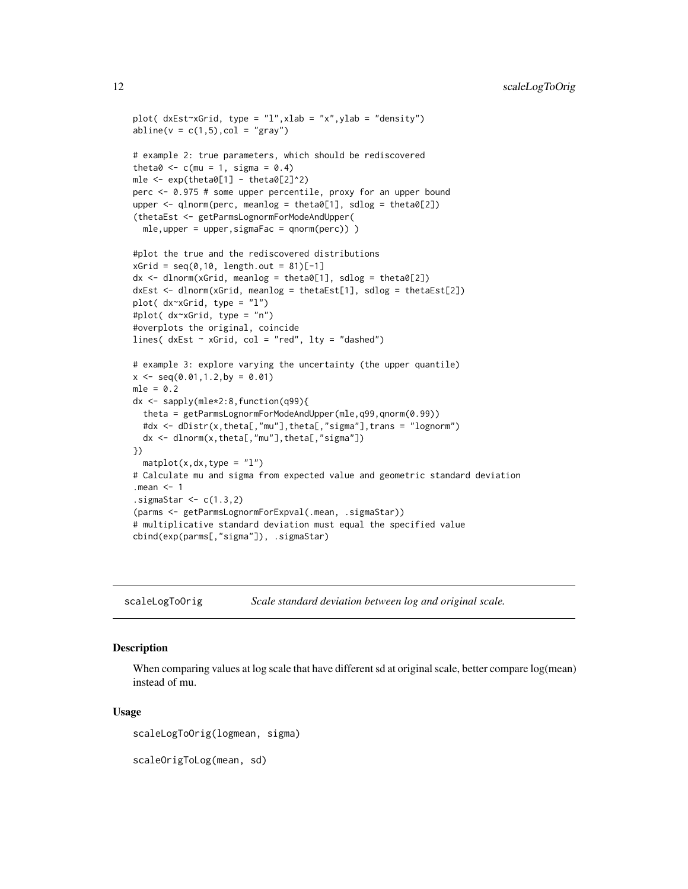```
plot( dxEst~xGrid, type = "l",xlab = "x",ylab = "density")
abline(v = c(1,5), col = "gray")# example 2: true parameters, which should be rediscovered
theta0 \leq c (mu = 1, sigma = 0.4)
mle \leq exp(theta0[1] - theta0[2]^2)
perc <- 0.975 # some upper percentile, proxy for an upper bound
upper \leq qlnorm(perc, meanlog = theta0[1], sdlog = theta0[2])
(thetaEst <- getParmsLognormForModeAndUpper(
  mle,upper = upper,sigmaFac = qnorm(perc)) )
#plot the true and the rediscovered distributions
xGrid = seq(0,10, length.out = 81)[-1]dx \leq -dlnorm(xGrid, meanlog = theta0[1], sdlog = theta0[2])dxEst <- dlnorm(xGrid, meanlog = thetaEst[1], sdlog = thetaEst[2])
plot( dx~xGrid, type = "l")
#plot( dx~xGrid, type = "n")
#overplots the original, coincide
lines( dxEst \sim xGrid, col = "red", lty = "dashed")# example 3: explore varying the uncertainty (the upper quantile)
x \leq -\text{seq}(0.01, 1.2, by = 0.01)mle = 0.2dx <- sapply(mle*2:8,function(q99){
  theta = getParmsLognormForModeAndUpper(mle,q99,qnorm(0.99))
  #dx <- dDistr(x,theta[,"mu"],theta[,"sigma"],trans = "lognorm")
  dx <- dlnorm(x,theta[,"mu"],theta[,"sigma"])
})
  matplot(x, dx, type = "l")# Calculate mu and sigma from expected value and geometric standard deviation
.mean <-1.sigmaStar \leq c(1.3,2)
(parms <- getParmsLognormForExpval(.mean, .sigmaStar))
# multiplicative standard deviation must equal the specified value
cbind(exp(parms[,"sigma"]), .sigmaStar)
```
scaleLogToOrig *Scale standard deviation between log and original scale.*

#### Description

When comparing values at log scale that have different sd at original scale, better compare log(mean) instead of mu.

#### Usage

scaleLogToOrig(logmean, sigma)

scaleOrigToLog(mean, sd)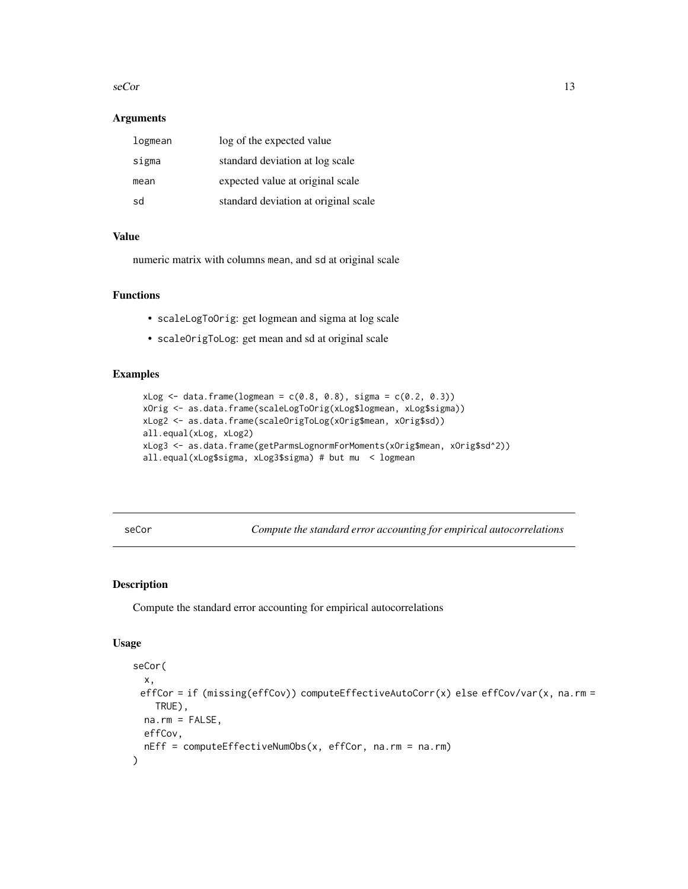#### <span id="page-12-0"></span> $\sec$  5 seCor 13

#### **Arguments**

| logmean | log of the expected value            |
|---------|--------------------------------------|
| sigma   | standard deviation at log scale      |
| mean    | expected value at original scale     |
| sd      | standard deviation at original scale |

# Value

numeric matrix with columns mean, and sd at original scale

# Functions

- scaleLogToOrig: get logmean and sigma at log scale
- scaleOrigToLog: get mean and sd at original scale

# Examples

```
xLog \leftarrow data frame(logmean = c(0.8, 0.8), sigma = c(0.2, 0.3))xOrig <- as.data.frame(scaleLogToOrig(xLog$logmean, xLog$sigma))
xLog2 <- as.data.frame(scaleOrigToLog(xOrig$mean, xOrig$sd))
all.equal(xLog, xLog2)
xLog3 <- as.data.frame(getParmsLognormForMoments(xOrig$mean, xOrig$sd^2))
all.equal(xLog$sigma, xLog3$sigma) # but mu < logmean
```
seCor *Compute the standard error accounting for empirical autocorrelations*

# Description

Compute the standard error accounting for empirical autocorrelations

#### Usage

```
seCor(
 x,
 effCor = if (missing(effCov)) computeEffectiveAutoCorr(x) else effCov/var(x, na.rm =
   TRUE),
 na.rm = FALSE,
 effCov,
 nEff = computeEffectiveNumObs(x, effCor, na.rm = na.rm)
)
```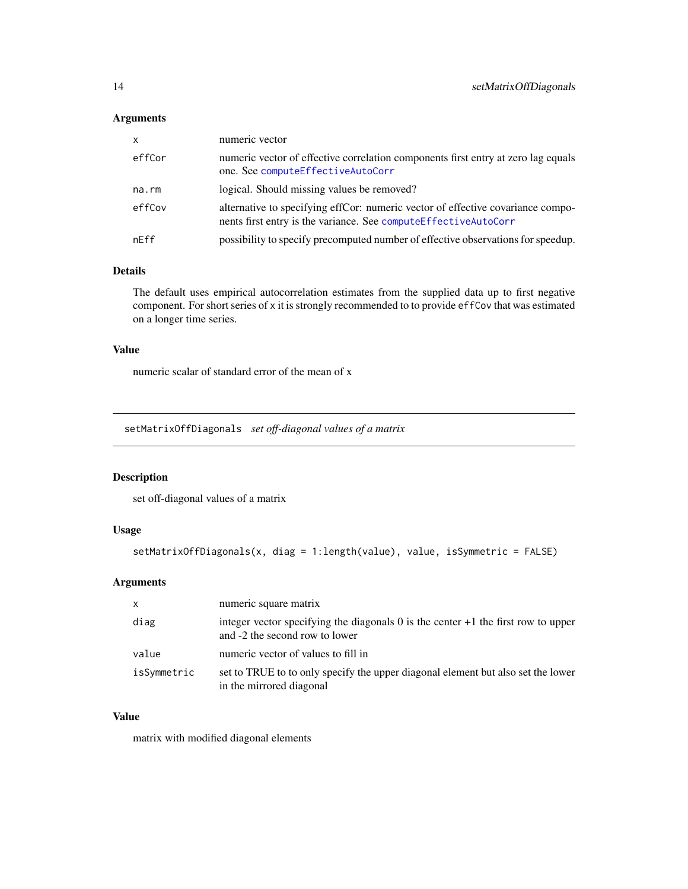# <span id="page-13-0"></span>Arguments

| <b>X</b> | numeric vector                                                                                                                                     |
|----------|----------------------------------------------------------------------------------------------------------------------------------------------------|
| effCor   | numeric vector of effective correlation components first entry at zero lag equals<br>one. See computeEffectiveAutoCorr                             |
| na.rm    | logical. Should missing values be removed?                                                                                                         |
| effCov   | alternative to specifying effCor: numeric vector of effective covariance compo-<br>nents first entry is the variance. See computeEffectiveAutoCorr |
| nEff     | possibility to specify precomputed number of effective observations for speedup.                                                                   |

# Details

The default uses empirical autocorrelation estimates from the supplied data up to first negative component. For short series of x it is strongly recommended to to provide effCov that was estimated on a longer time series.

#### Value

numeric scalar of standard error of the mean of x

setMatrixOffDiagonals *set off-diagonal values of a matrix*

# Description

set off-diagonal values of a matrix

# Usage

```
setMatrixOffDiagonals(x, diag = 1:length(value), value, isSymmetric = FALSE)
```
# Arguments

| $\mathsf{x}$ | numeric square matrix                                                                                                        |
|--------------|------------------------------------------------------------------------------------------------------------------------------|
| diag         | integer vector specifying the diagonals $\theta$ is the center $+1$ the first row to upper<br>and -2 the second row to lower |
| value        | numeric vector of values to fill in                                                                                          |
| isSymmetric  | set to TRUE to to only specify the upper diagonal element but also set the lower<br>in the mirrored diagonal                 |

# Value

matrix with modified diagonal elements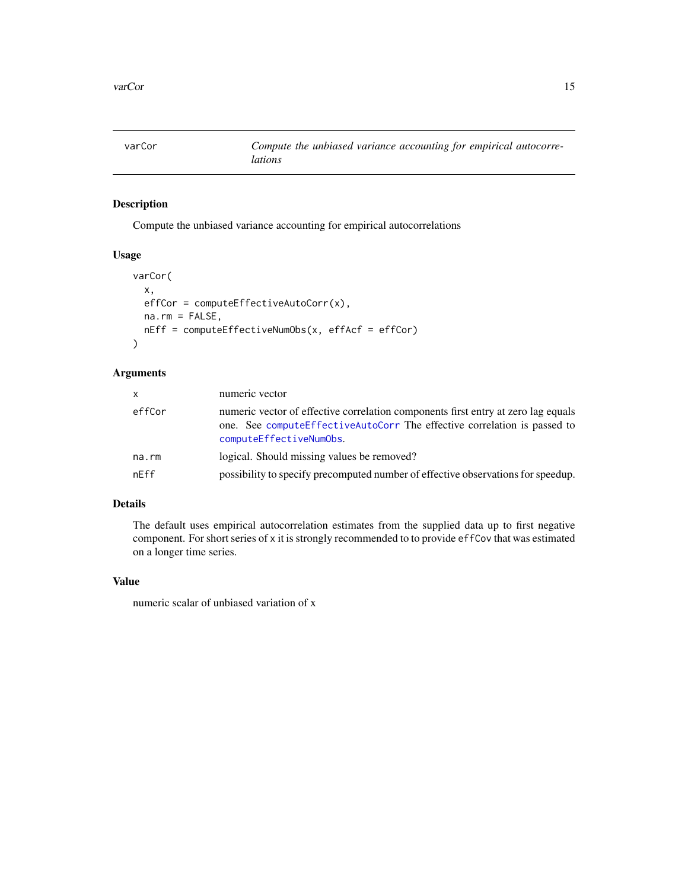<span id="page-14-0"></span>

# Description

Compute the unbiased variance accounting for empirical autocorrelations

#### Usage

```
varCor(
  x,
 effCor = computeEffectiveAutoCorr(x),
 na.rm = FALSE,
 nEff = computeEffectiveNumObs(x, effAcf = effCor)
)
```
#### Arguments

| <b>X</b> | numeric vector                                                                                                                                                                             |
|----------|--------------------------------------------------------------------------------------------------------------------------------------------------------------------------------------------|
| effCor   | numeric vector of effective correlation components first entry at zero lag equals<br>one. See compute Effective AutoCorr The effective correlation is passed to<br>computeEffectiveNumObs. |
| na.rm    | logical. Should missing values be removed?                                                                                                                                                 |
| nEff     | possibility to specify precomputed number of effective observations for speedup.                                                                                                           |

# Details

The default uses empirical autocorrelation estimates from the supplied data up to first negative component. For short series of x it is strongly recommended to to provide effCov that was estimated on a longer time series.

# Value

numeric scalar of unbiased variation of x